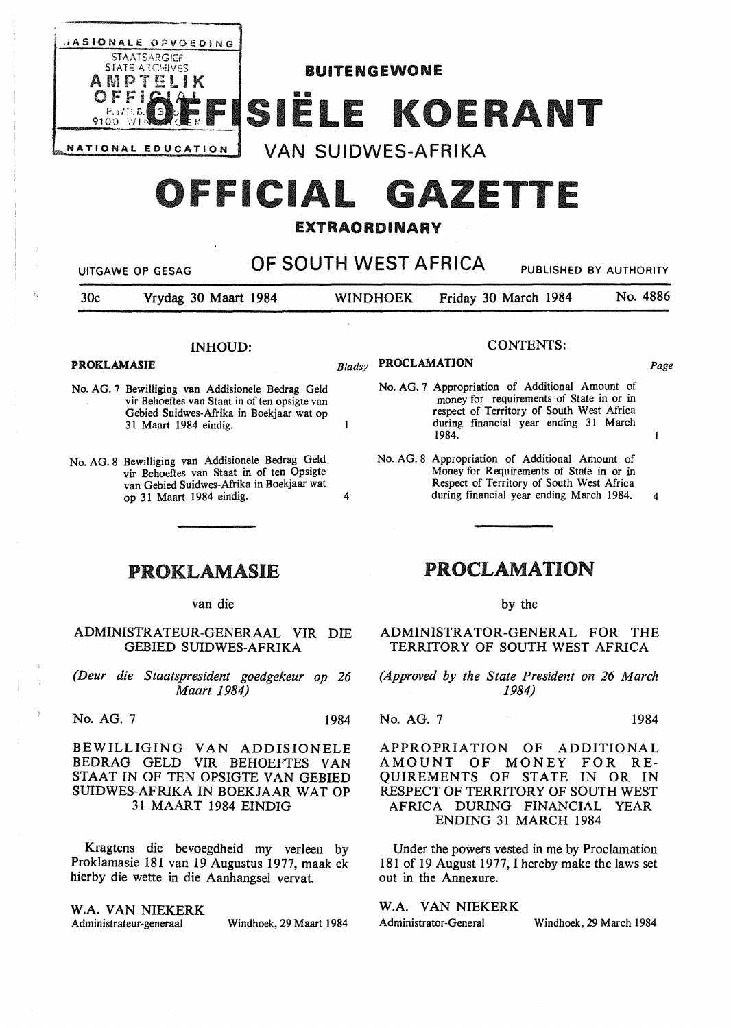

# OFFICIAL GAZETTE

### **EXTRAORDINARY**

| OF SOUTH WEST AFRICA<br><b>PUBLISHED BY AUTHORITY</b><br><b>UITGAWE OP GESAG</b> |                                                                                                                                                                         |        |                 |                                                                                                                                                                                      |                  |          |
|----------------------------------------------------------------------------------|-------------------------------------------------------------------------------------------------------------------------------------------------------------------------|--------|-----------------|--------------------------------------------------------------------------------------------------------------------------------------------------------------------------------------|------------------|----------|
| 30 <sub>c</sub>                                                                  | Vrydag 30 Maart 1984                                                                                                                                                    |        | <b>WINDHOEK</b> | Friday 30 March 1984                                                                                                                                                                 |                  | No. 4886 |
| <b>INHOUD:</b><br><b>PROKLAMASIE</b>                                             |                                                                                                                                                                         |        |                 | <b>PROCLAMATION</b>                                                                                                                                                                  | <b>CONTENTS:</b> |          |
|                                                                                  | No. AG. 7 Bewilliging van Addisionele Bedrag Geld                                                                                                                       | Bladsy |                 | No. AG. 7 Appropriation of Additional Amount of                                                                                                                                      |                  | Page     |
|                                                                                  | vir Behoeftes van Staat in of ten opsigte van<br>Gebied Suidwes-Afrika in Boekjaar wat op<br>31 Maart 1984 eindig.                                                      | 1      |                 | money for requirements of State in or in<br>respect of Territory of South West Africa<br>during financial year ending 31 March<br>1984.                                              |                  | 1        |
|                                                                                  | No. AG. 8 Bewilliging van Addisionele Bedrag Geld<br>vir Behoeftes van Staat in of ten Opsigte<br>van Gebied Suidwes-Afrika in Boekjaar wat<br>op 31 Maart 1984 eindig. | 4      |                 | No. AG. 8 Appropriation of Additional Amount of<br>Money for Requirements of State in or in<br>Respect of Territory of South West Africa<br>during financial year ending March 1984. |                  | 4        |
|                                                                                  | <b>PROKLAMASIE</b>                                                                                                                                                      |        |                 | <b>PROCLAMATION</b>                                                                                                                                                                  |                  |          |
|                                                                                  | van die                                                                                                                                                                 |        |                 |                                                                                                                                                                                      | by the           |          |
|                                                                                  | ADMINISTRATEUR-GENERAAL VIR DIE<br><b>GEBIED SUIDWES-AFRIKA</b>                                                                                                         |        |                 | ADMINISTRATOR-GENERAL FOR<br>TERRITORY OF SOUTH WEST AFRICA                                                                                                                          |                  | THE.     |
|                                                                                  | (Deur die Staatspresident goedgekeur op 26                                                                                                                              |        |                 | (Approved by the State President on 26 March                                                                                                                                         |                  |          |

*Maart 1984)* 

No. AG. 7 1984

BEWILLIGING VAN ADDISIONELE BEDRAG GELD VIR BEHOEFTES VAN STAAT IN OF TEN OPSIGTE VAN GEBIED SUIDWES-AFRIKA IN BOEKJAAR WAT OP 31 MAART 1984 EINDIG

Kragtens die bevoegdheid my verleen by Proklamasie 181 van 19 Augustus 1977, maak ek hierby die wette in die Aanhangsel vervat

### **W.A. VAN NIEKERK**

Administrateur-generaal Windhoek, 29 Maart 1984

*1984)* 

No. AG. 7 1984

APPROPRIATION OF ADDITIONAL AMOUNT OF MONEY FOR RE-QUIREMENTS OF STATE IN OR IN RESPECT OF TERRITORY OF SOUTH WEST AFRICA DURING FINANCIAL YEAR ENDING 31 MARCH 1984

Under the powers vested in me by Proclamation 181 of 19 August 1977, I hereby make the laws set out in the Annexure.

### W.A. VAN NIEKERK

Administrator-General Windhoek, 29 March 1984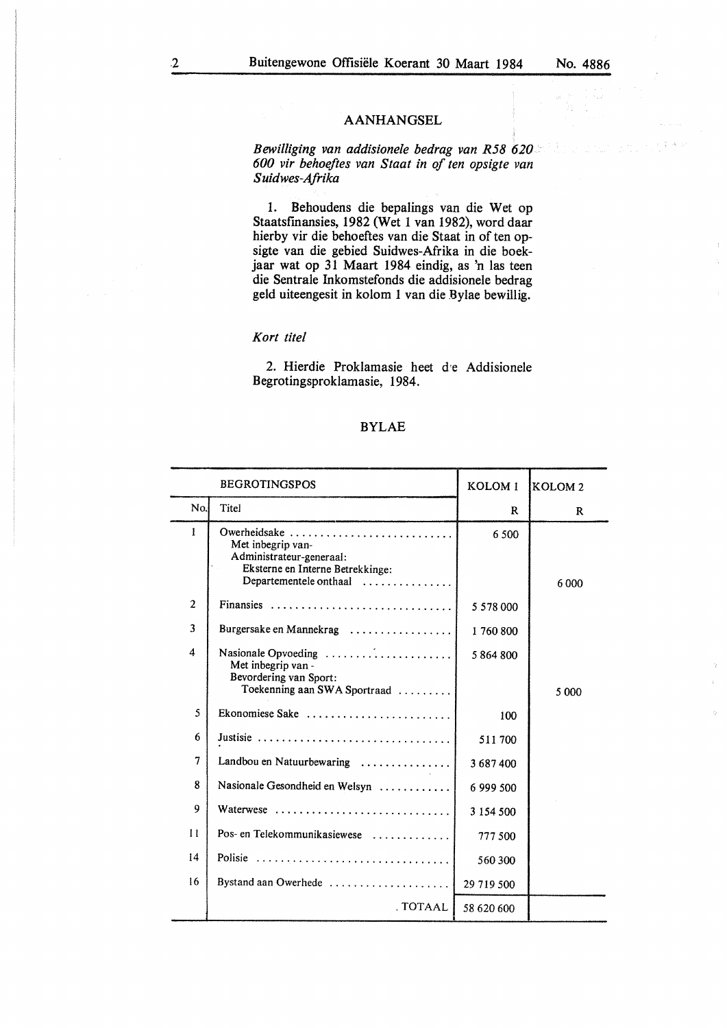### AANHANGSEL

*Bewilliging van addisionele bedrag van R58 620 600 vir behoeftes van Staal in of ten opsigte van Suidwes-Afrika* 

1. Behoudens die bepalings van die Wet op Staatsfinansies, 1982 (Wet 1 van 1982), word daar hierby vir die behoeftes van die Staat in of ten opsigte van die gebied Suidwes-Afrika in die boekjaar wat op 31 Maart 1984 eindig, as 'n las teen die Sentrale Inkomstefonds die addisionele bedrag geld uiteengesit in kolom 1 van die Bylae bewillig.

### *Kort titel*

2. Hierdie Proklamasie heet d'e Addisionele Begrotingsproklamasie, 1984.

### BYLAE

|                | <b>BEGROTINGSPOS</b>                                                                                                        | KOLOM <sub>1</sub> | KOLOM <sub>2</sub> |
|----------------|-----------------------------------------------------------------------------------------------------------------------------|--------------------|--------------------|
| No.            | Titel                                                                                                                       | R                  | R                  |
| 1              | Owerheidsake<br>Met inbegrip van-<br>Administrateur-generaal:<br>Eksterne en Interne Betrekkinge:<br>Departementele onthaal | 6.500              | 6 0 0 0            |
| $\overline{2}$ | Finansies                                                                                                                   | 5 578 000          |                    |
| 3              | Burgersake en Mannekrag                                                                                                     | 1760800            |                    |
| 4              | Met inbegrip van -<br>Bevordering van Sport:<br>Toekenning aan SWA Sportraad                                                | 5864800            | 5 0 0 0            |
| 5              | Ekonomiese Sake                                                                                                             | 100                |                    |
| 6              | Justisie                                                                                                                    | 511700             |                    |
| 7              | Landbou en Natuurbewaring                                                                                                   | 3687400            |                    |
| 8              | Nasionale Gesondheid en Welsyn                                                                                              | 6 999 500          |                    |
| 9              | Waterwese                                                                                                                   | 3 1 5 4 5 0 0      |                    |
| $\mathbf{11}$  | Pos- en Telekommunikasiewese                                                                                                | 777.500            |                    |
| 14             | Polisie                                                                                                                     | 560 300            |                    |
| 16             | Bystand aan Owerhede                                                                                                        | 29 719 500         |                    |
|                | . TOTAAL                                                                                                                    | 58 620 600         |                    |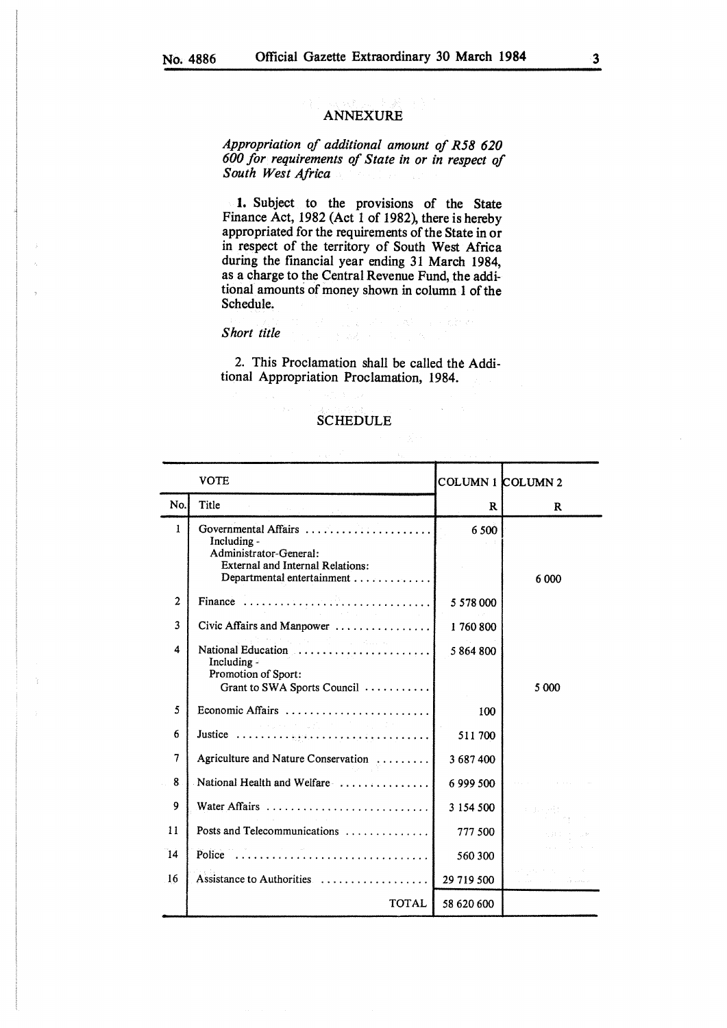### ANNEXURE

*Appropriation of additional amount of R58 620 600 for requirements of State in or in respect of South West Africa* 

**1.** Subject to the provisions of the State Finance Act, 1982 (Act 1 of 1982), there is hereby appropriated for the requirements of the State in or in respect of the territory of South West Africa during the financial year ending 31 March 1984, as a charge to the Central Revenue Fund, the additional amounts of money shown in column 1 of the Schedule.

### *Short title*

2. This Proclamation shall be called the Additional Appropriation Proclamation, 1984.

### SCHEDULE

|                | <b>VOTE</b>                                                                                                                                                                                                                                                                                       | COLUMN 1 COLUMN 2 |                 |
|----------------|---------------------------------------------------------------------------------------------------------------------------------------------------------------------------------------------------------------------------------------------------------------------------------------------------|-------------------|-----------------|
| No.            | Title                                                                                                                                                                                                                                                                                             | R                 | R               |
| $\mathbf{1}$   | Governmental Affairs<br>Including -<br>Administrator-General:<br><b>External and Internal Relations:</b><br>Departmental entertainment                                                                                                                                                            | 6 500             | 6 000           |
| $\overline{2}$ | Finance                                                                                                                                                                                                                                                                                           | 5 5 78 000        |                 |
| 3              | Civic Affairs and Manpower                                                                                                                                                                                                                                                                        | 1760800           |                 |
| 4              | te se filmo de Albana.<br>National Education<br>Including $\overline{z}$<br>Promotion of Sport:<br>Grant to SWA Sports Council                                                                                                                                                                    | 5864800           | 5 000           |
| 5              |                                                                                                                                                                                                                                                                                                   | 100               |                 |
| 6              | $\label{eq:2.1} \mathcal{L}^{\mathcal{A}}(\mathcal{A}^{\mathcal{A}}) = \mathcal{L}^{\mathcal{A}}(\mathcal{A}^{\mathcal{A}}) = \mathcal{L}^{\mathcal{A}}(\mathcal{A}^{\mathcal{A}}) = \mathcal{L}^{\mathcal{A}}(\mathcal{A}^{\mathcal{A}}) = \mathcal{L}^{\mathcal{A}}(\mathcal{A}^{\mathcal{A}})$ | 511700            |                 |
| 7              | Agriculture and Nature Conservation                                                                                                                                                                                                                                                               | 3 687 400         |                 |
| 8              | National Health and Welfare                                                                                                                                                                                                                                                                       | 6 999 500         |                 |
| 9              |                                                                                                                                                                                                                                                                                                   | 3 154 500         | r Beyrling<br>T |
| 11             | Posts and Telecommunications                                                                                                                                                                                                                                                                      | 777 500           |                 |
| 14             | Police                                                                                                                                                                                                                                                                                            | 560 300           |                 |
| 16             | Assistance to Authorities                                                                                                                                                                                                                                                                         | 29 719 500        |                 |
|                | <b>TOTAL</b>                                                                                                                                                                                                                                                                                      | 58 620 600        |                 |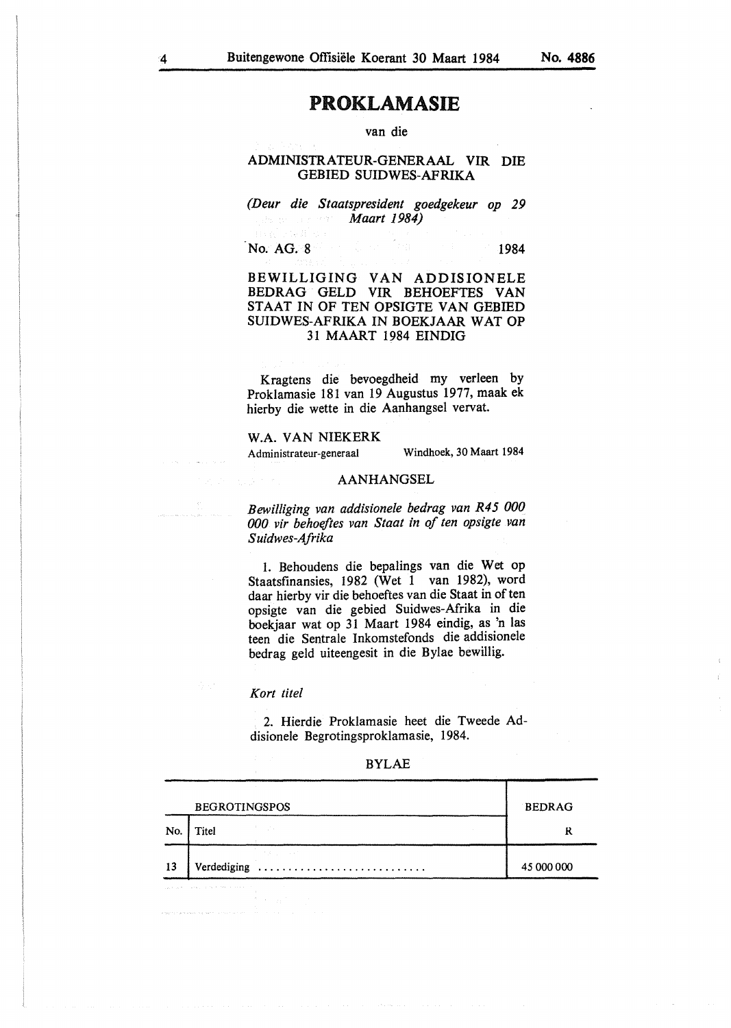## PROKLAMASIE

van die

### ADMINISTRATEUR-GENERAAL VIR DIE GEBIED SUIDWES-AFRIKA

*(Deur die Staatspresident goedgekeur op 29 Maart 1984)* 

No. AG. 8 1984

### BEWILLIGING VAN ADDISIONELE BEDRAG GELD VIR BEHOEFTES VAN STAAT IN OF TEN OPSIGTE VAN GEBIED SUIDWES-AFRIKA IN BOEKJAAR WAT OP 31 MAART 1984 EINDIG

Kragtens die bevoegdheid my verleen by Proklamasie 181 van 19 Augustus 1977, maak ek hierby die wette in die Aanhangsel vervat.

### W.A. VAN NIEKERK

Administrateur-generaal Windhoek, 30 Maart 1984

### **AANHANGSEL**

*Bewilliging van addisionele bedrag van R45 000 000 vir behoeftes van Staal in of ten opsigte van S uidwes-Afrika* 

1. Behoudens die bepalings van die Wet op Staatsfinansies, 1982 (Wet 1 van 1982), word daar hierby vir die behoeftes van die Staat in of ten opsigte van die gebied Suidwes-Afrika in die boekjaar wat op 31 Maart 1984 eindig, as 'n las teen die Sentrale Inkomstefonds die addisionele bedrag geld uiteengesit in die Bylae bewillig.

### *Kort tile!*

2. Hierdie Proklamasie beet die Tweede Addisionele Begrotingsproklamasie, 1984.

| ۰. | ۰<br>٠ |
|----|--------|
|----|--------|

|     | <b>BEGROTINGSPOS</b> | <b>BEDRAG</b> |  |
|-----|----------------------|---------------|--|
| No. | Titel                | R             |  |
| 13  | Verdediging          | 45 000 000    |  |